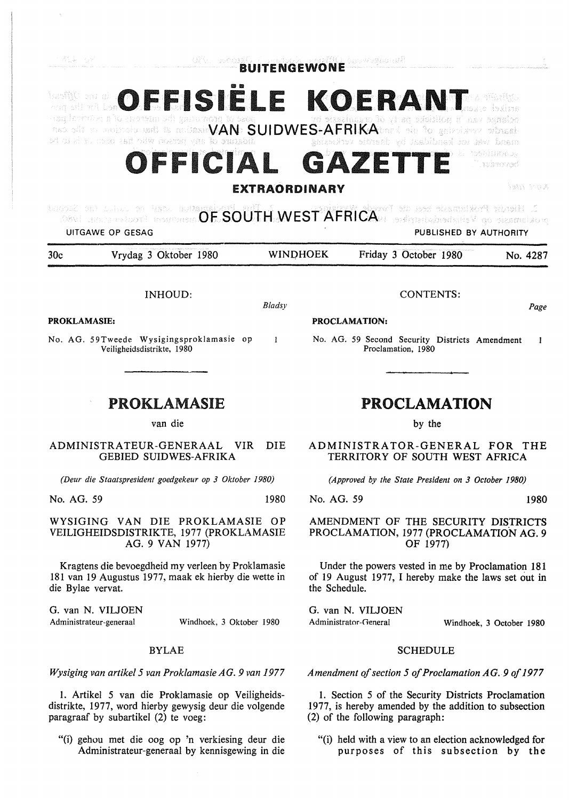活(よーしど)

 $FISIELE KOERANT$ ism**it**C our al ana sel må ber The oils to moistels hadi in militaria**VAN SUIDWES-AFRIKA**bord all to generalize vibraal v el restimbent **OFFICIAL** GAZE T. sebessvart

**NABA** Araba **EXTRAORDINARY**  OOSE our brings on have aprilaring **COUTH WEST AFRICA** and sent diagram to design throid C butund on balan on hat. Buin UITGAWE OP GESAG PUBLISHED BY AUTHORITY 30c Vrydag 3 Oktober 1980 WINOHOEK Friday 3 October 1980 No. 4287 INHOUD: CONTENTS: *Bladsy Page*  **PROKLAMASIE: PROCLAMATION:**  No. AG. 59Tweede Wysigingsproklamasie op  $\mathbf{I}$ No. AG. 59 Second Security Districts Amendment  $\mathbf{1}$ Veiligheidsdistrikte, 1980 Proclamation, 1980 PROKLAMASIE **PROCLAMATION**  van die by the ADMINISTRATEUR-GENERAAL VIR DIE **ADMINISTRATOR-GENERAL FOR THE**  GEBIED SUIDWES-AFRIKA **TERRITORY OF SOUTH WEST AFRICA**  *(Deur die Staatspresident goedgekeur op 3 Oktober 1980) (Approved by the State President on 3 October 1980)*  No. AG. 59 1980 No. AG. 59 1980 WYSIGING VAN DIE PROKLAMASIE OP AMENDMENT OF THE SECURITY DISTRICTS VEILIGHEIDSDISTRIKTE, 1977 (PROKLAMASIE PROCLAMATION, 1977 (PROCLAMATION AG. 9 AG. 9 VAN 1977) OF 1977) Kragtens die bevoegdheid my verleen by Proklamasie Under the powers vested in me by Proclamation 181 181 van 19 Augustus 1977, maak ek hierby die wette in of 19 August 1977, I hereby make the laws set out in die Bylae vervat. the Schedule. G. van N. VILJOEN

Administrateur-generaal Windhoek, 3 Oktober 1980

## BYLAE

*Wysiging van artikel 5 van Proklamasie AG. 9 van 1977* 

I. Artikel 5 van die Proklamasie op Veiligheidsdistrikte, 1977, word hierby gewysig deur die volgende paragraaf by subartikel (2) te voeg:

"(i) gehou met die oog op 'n verkiesing deur die Administrateur-generaal by kennisgewing in die

"(i) held with a view to an election acknowledged for purposes of this subsection by the

G. van N. VILJOEN Administrator-General Windhoek, 3 October 1980

(2) of the following paragraph:

## SCHEDULE

*Amendment of section 5 of Proclamation AG. 9 of 1977* 

1. Section 5 of the Security Districts Proclamation 1977, is hereby amended by the addition to subsection